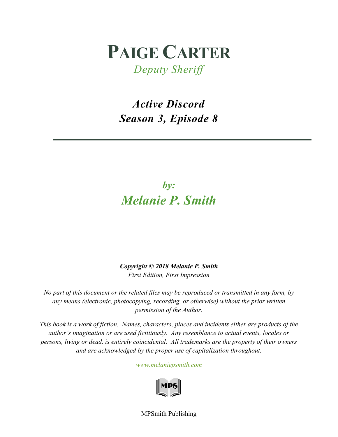# **PAIGE CARTER**

*Deputy Sheriff*

*Active Discord Season 3, Episode 8*

# *by: Melanie P. Smith*

*Copyright © 2018 Melanie P. Smith First Edition, First Impression*

*No part of this document or the related files may be reproduced or transmitted in any form, by any means (electronic, photocopying, recording, or otherwise) without the prior written permission of the Author.*

*This book is a work of fiction. Names, characters, places and incidents either are products of the author's imagination or are used fictitiously. Any resemblance to actual events, locales or persons, living or dead, is entirely coincidental. All trademarks are the property of their owners and are acknowledged by the proper use of capitalization throughout.*

*[www.melaniepsmith.com](http://www.melaniepsmith.com/)*



MPSmith Publishing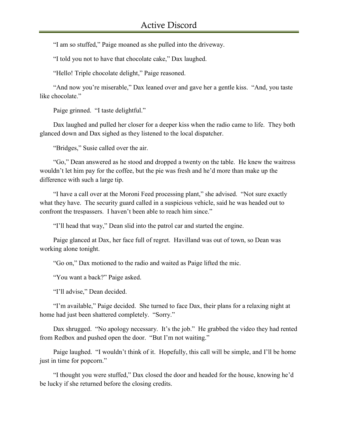"I am so stuffed," Paige moaned as she pulled into the driveway.

"I told you not to have that chocolate cake," Dax laughed.

"Hello! Triple chocolate delight," Paige reasoned.

"And now you're miserable," Dax leaned over and gave her a gentle kiss. "And, you taste like chocolate."

Paige grinned. "I taste delightful."

Dax laughed and pulled her closer for a deeper kiss when the radio came to life. They both glanced down and Dax sighed as they listened to the local dispatcher.

"Bridges," Susie called over the air.

"Go," Dean answered as he stood and dropped a twenty on the table. He knew the waitress wouldn't let him pay for the coffee, but the pie was fresh and he'd more than make up the difference with such a large tip.

"I have a call over at the Moroni Feed processing plant," she advised. "Not sure exactly what they have. The security guard called in a suspicious vehicle, said he was headed out to confront the trespassers. I haven't been able to reach him since."

"I'll head that way," Dean slid into the patrol car and started the engine.

Paige glanced at Dax, her face full of regret. Havilland was out of town, so Dean was working alone tonight.

"Go on," Dax motioned to the radio and waited as Paige lifted the mic.

"You want a back?" Paige asked.

"I'll advise," Dean decided.

"I'm available," Paige decided. She turned to face Dax, their plans for a relaxing night at home had just been shattered completely. "Sorry."

Dax shrugged. "No apology necessary. It's the job." He grabbed the video they had rented from Redbox and pushed open the door. "But I'm not waiting."

Paige laughed. "I wouldn't think of it. Hopefully, this call will be simple, and I'll be home just in time for popcorn."

"I thought you were stuffed," Dax closed the door and headed for the house, knowing he'd be lucky if she returned before the closing credits.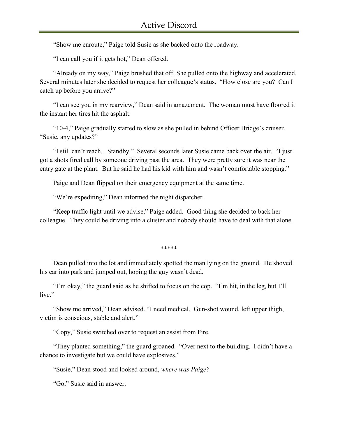"Show me enroute," Paige told Susie as she backed onto the roadway.

"I can call you if it gets hot," Dean offered.

"Already on my way," Paige brushed that off. She pulled onto the highway and accelerated. Several minutes later she decided to request her colleague's status. "How close are you? Can I catch up before you arrive?"

"I can see you in my rearview," Dean said in amazement. The woman must have floored it the instant her tires hit the asphalt.

"10-4," Paige gradually started to slow as she pulled in behind Officer Bridge's cruiser. "Susie, any updates?"

"I still can't reach... Standby." Several seconds later Susie came back over the air. "I just got a shots fired call by someone driving past the area. They were pretty sure it was near the entry gate at the plant. But he said he had his kid with him and wasn't comfortable stopping."

Paige and Dean flipped on their emergency equipment at the same time.

"We're expediting," Dean informed the night dispatcher.

"Keep traffic light until we advise," Paige added. Good thing she decided to back her colleague. They could be driving into a cluster and nobody should have to deal with that alone.

\*\*\*\*\*

Dean pulled into the lot and immediately spotted the man lying on the ground. He shoved his car into park and jumped out, hoping the guy wasn't dead.

"I'm okay," the guard said as he shifted to focus on the cop. "I'm hit, in the leg, but I'll live."

"Show me arrived," Dean advised. "I need medical. Gun-shot wound, left upper thigh, victim is conscious, stable and alert."

"Copy," Susie switched over to request an assist from Fire.

"They planted something," the guard groaned. "Over next to the building. I didn't have a chance to investigate but we could have explosives."

"Susie," Dean stood and looked around, *where was Paige?*

"Go," Susie said in answer.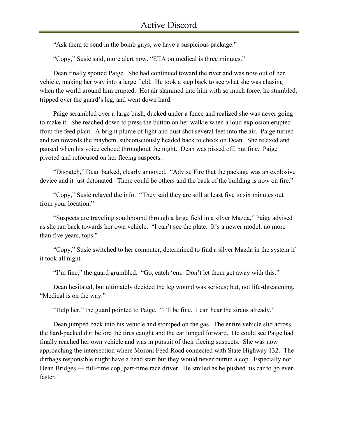"Ask them to send in the bomb guys, we have a suspicious package."

"Copy," Susie said, more alert now. "ETA on medical is three minutes."

Dean finally spotted Paige. She had continued toward the river and was now out of her vehicle, making her way into a large field. He took a step back to see what she was chasing when the world around him erupted. Hot air slammed into him with so much force, he stumbled, tripped over the guard's leg, and went down hard.

Paige scrambled over a large bush, ducked under a fence and realized she was never going to make it. She reached down to press the button on her walkie when a loud explosion erupted from the feed plant. A bright plume of light and dust shot several feet into the air. Paige turned and ran towards the mayhem, subconsciously headed back to check on Dean. She relaxed and paused when his voice echoed throughout the night. Dean was pissed off, but fine. Paige pivoted and refocused on her fleeing suspects.

"Dispatch," Dean barked, clearly annoyed. "Advise Fire that the package was an explosive device and it just detonated. There could be others and the back of the building is now on fire."

"Copy," Susie relayed the info. "They said they are still at least five to six minutes out from your location."

"Suspects are traveling southbound through a large field in a silver Mazda," Paige advised as she ran back towards her own vehicle. "I can't see the plate. It's a newer model, no more than five years, tops."

"Copy," Susie switched to her computer, determined to find a silver Mazda in the system if it took all night.

"I'm fine," the guard grumbled. "Go, catch 'em. Don't let them get away with this."

Dean hesitated, but ultimately decided the leg wound was serious; but, not life-threatening. "Medical is on the way."

"Help her," the guard pointed to Paige. "I'll be fine. I can hear the sirens already."

Dean jumped back into his vehicle and stomped on the gas. The entire vehicle slid across the hard-packed dirt before the tires caught and the car lunged forward. He could see Paige had finally reached her own vehicle and was in pursuit of their fleeing suspects. She was now approaching the intersection where Moroni Feed Road connected with State Highway 132. The dirtbags responsible might have a head start but they would never outrun a cop. Especially not Dean Bridges — full-time cop, part-time race driver. He smiled as he pushed his car to go even faster.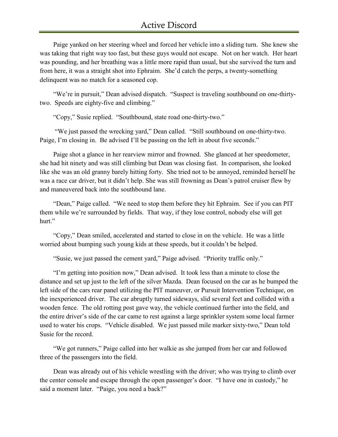Paige yanked on her steering wheel and forced her vehicle into a sliding turn. She knew she was taking that right way too fast, but these guys would not escape. Not on her watch. Her heart was pounding, and her breathing was a little more rapid than usual, but she survived the turn and from here, it was a straight shot into Ephraim. She'd catch the perps, a twenty-something delinquent was no match for a seasoned cop.

"We're in pursuit," Dean advised dispatch. "Suspect is traveling southbound on one-thirtytwo. Speeds are eighty-five and climbing."

"Copy," Susie replied. "Southbound, state road one-thirty-two."

"We just passed the wrecking yard," Dean called. "Still southbound on one-thirty-two. Paige, I'm closing in. Be advised I'll be passing on the left in about five seconds."

Paige shot a glance in her rearview mirror and frowned. She glanced at her speedometer, she had hit ninety and was still climbing but Dean was closing fast. In comparison, she looked like she was an old granny barely hitting forty. She tried not to be annoyed, reminded herself he was a race car driver, but it didn't help. She was still frowning as Dean's patrol cruiser flew by and maneuvered back into the southbound lane.

"Dean," Paige called. "We need to stop them before they hit Ephraim. See if you can PIT them while we're surrounded by fields. That way, if they lose control, nobody else will get hurt."

"Copy," Dean smiled, accelerated and started to close in on the vehicle. He was a little worried about bumping such young kids at these speeds, but it couldn't be helped.

"Susie, we just passed the cement yard," Paige advised. "Priority traffic only."

"I'm getting into position now," Dean advised. It took less than a minute to close the distance and set up just to the left of the silver Mazda. Dean focused on the car as he bumped the left side of the cars rear panel utilizing the PIT maneuver, or Pursuit Intervention Technique, on the inexperienced driver. The car abruptly turned sideways, slid several feet and collided with a wooden fence. The old rotting post gave way, the vehicle continued further into the field, and the entire driver's side of the car came to rest against a large sprinkler system some local farmer used to water his crops. "Vehicle disabled. We just passed mile marker sixty-two," Dean told Susie for the record.

"We got runners," Paige called into her walkie as she jumped from her car and followed three of the passengers into the field.

Dean was already out of his vehicle wrestling with the driver; who was trying to climb over the center console and escape through the open passenger's door. "I have one in custody," he said a moment later. "Paige, you need a back?"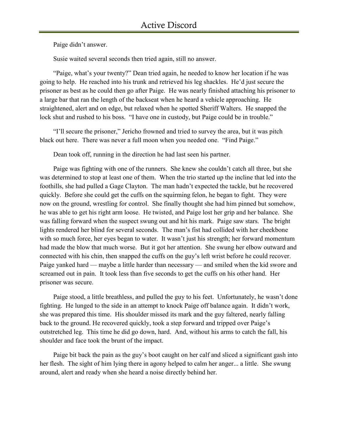Paige didn't answer.

Susie waited several seconds then tried again, still no answer.

"Paige, what's your twenty?" Dean tried again, he needed to know her location if he was going to help. He reached into his trunk and retrieved his leg shackles. He'd just secure the prisoner as best as he could then go after Paige. He was nearly finished attaching his prisoner to a large bar that ran the length of the backseat when he heard a vehicle approaching. He straightened, alert and on edge, but relaxed when he spotted Sheriff Walters. He snapped the lock shut and rushed to his boss. "I have one in custody, but Paige could be in trouble."

"I'll secure the prisoner," Jericho frowned and tried to survey the area, but it was pitch black out here. There was never a full moon when you needed one. "Find Paige."

Dean took off, running in the direction he had last seen his partner.

Paige was fighting with one of the runners. She knew she couldn't catch all three, but she was determined to stop at least one of them. When the trio started up the incline that led into the foothills, she had pulled a Gage Clayton. The man hadn't expected the tackle, but he recovered quickly. Before she could get the cuffs on the squirming felon, he began to fight. They were now on the ground, wrestling for control. She finally thought she had him pinned but somehow, he was able to get his right arm loose. He twisted, and Paige lost her grip and her balance. She was falling forward when the suspect swung out and hit his mark. Paige saw stars. The bright lights rendered her blind for several seconds. The man's fist had collided with her cheekbone with so much force, her eyes began to water. It wasn't just his strength; her forward momentum had made the blow that much worse. But it got her attention. She swung her elbow outward and connected with his chin, then snapped the cuffs on the guy's left wrist before he could recover. Paige yanked hard — maybe a little harder than necessary — and smiled when the kid swore and screamed out in pain. It took less than five seconds to get the cuffs on his other hand. Her prisoner was secure.

Paige stood, a little breathless, and pulled the guy to his feet. Unfortunately, he wasn't done fighting. He lunged to the side in an attempt to knock Paige off balance again. It didn't work, she was prepared this time. His shoulder missed its mark and the guy faltered, nearly falling back to the ground. He recovered quickly, took a step forward and tripped over Paige's outstretched leg. This time he did go down, hard. And, without his arms to catch the fall, his shoulder and face took the brunt of the impact.

Paige bit back the pain as the guy's boot caught on her calf and sliced a significant gash into her flesh. The sight of him lying there in agony helped to calm her anger... a little. She swung around, alert and ready when she heard a noise directly behind her.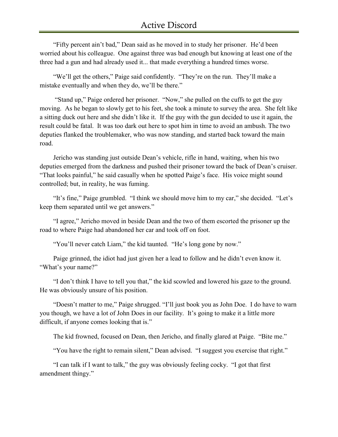"Fifty percent ain't bad," Dean said as he moved in to study her prisoner. He'd been worried about his colleague. One against three was bad enough but knowing at least one of the three had a gun and had already used it... that made everything a hundred times worse.

"We'll get the others," Paige said confidently. "They're on the run. They'll make a mistake eventually and when they do, we'll be there."

"Stand up," Paige ordered her prisoner. "Now," she pulled on the cuffs to get the guy moving. As he began to slowly get to his feet, she took a minute to survey the area. She felt like a sitting duck out here and she didn't like it. If the guy with the gun decided to use it again, the result could be fatal. It was too dark out here to spot him in time to avoid an ambush. The two deputies flanked the troublemaker, who was now standing, and started back toward the main road.

Jericho was standing just outside Dean's vehicle, rifle in hand, waiting, when his two deputies emerged from the darkness and pushed their prisoner toward the back of Dean's cruiser. "That looks painful," he said casually when he spotted Paige's face. His voice might sound controlled; but, in reality, he was fuming.

"It's fine," Paige grumbled. "I think we should move him to my car," she decided. "Let's keep them separated until we get answers."

"I agree," Jericho moved in beside Dean and the two of them escorted the prisoner up the road to where Paige had abandoned her car and took off on foot.

"You'll never catch Liam," the kid taunted. "He's long gone by now."

Paige grinned, the idiot had just given her a lead to follow and he didn't even know it. "What's your name?"

"I don't think I have to tell you that," the kid scowled and lowered his gaze to the ground. He was obviously unsure of his position.

"Doesn't matter to me," Paige shrugged. "I'll just book you as John Doe. I do have to warn you though, we have a lot of John Does in our facility. It's going to make it a little more difficult, if anyone comes looking that is."

The kid frowned, focused on Dean, then Jericho, and finally glared at Paige. "Bite me."

"You have the right to remain silent," Dean advised. "I suggest you exercise that right."

"I can talk if I want to talk," the guy was obviously feeling cocky. "I got that first amendment thingy."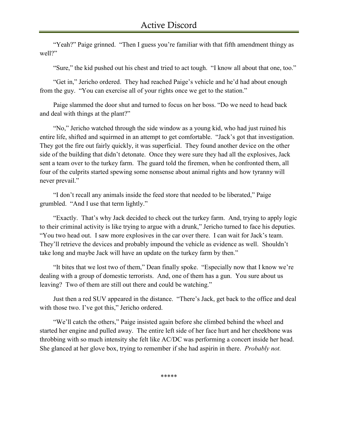"Yeah?" Paige grinned. "Then I guess you're familiar with that fifth amendment thingy as well?"

"Sure," the kid pushed out his chest and tried to act tough. "I know all about that one, too."

"Get in," Jericho ordered. They had reached Paige's vehicle and he'd had about enough from the guy. "You can exercise all of your rights once we get to the station."

Paige slammed the door shut and turned to focus on her boss. "Do we need to head back and deal with things at the plant?"

"No," Jericho watched through the side window as a young kid, who had just ruined his entire life, shifted and squirmed in an attempt to get comfortable. "Jack's got that investigation. They got the fire out fairly quickly, it was superficial. They found another device on the other side of the building that didn't detonate. Once they were sure they had all the explosives, Jack sent a team over to the turkey farm. The guard told the firemen, when he confronted them, all four of the culprits started spewing some nonsense about animal rights and how tyranny will never prevail."

"I don't recall any animals inside the feed store that needed to be liberated," Paige grumbled. "And I use that term lightly."

"Exactly. That's why Jack decided to check out the turkey farm. And, trying to apply logic to their criminal activity is like trying to argue with a drunk," Jericho turned to face his deputies. "You two head out. I saw more explosives in the car over there. I can wait for Jack's team. They'll retrieve the devices and probably impound the vehicle as evidence as well. Shouldn't take long and maybe Jack will have an update on the turkey farm by then."

"It bites that we lost two of them," Dean finally spoke. "Especially now that I know we're dealing with a group of domestic terrorists. And, one of them has a gun. You sure about us leaving? Two of them are still out there and could be watching."

Just then a red SUV appeared in the distance. "There's Jack, get back to the office and deal with those two. I've got this," Jericho ordered.

"We'll catch the others," Paige insisted again before she climbed behind the wheel and started her engine and pulled away. The entire left side of her face hurt and her cheekbone was throbbing with so much intensity she felt like AC/DC was performing a concert inside her head. She glanced at her glove box, trying to remember if she had aspirin in there. *Probably not.*

\*\*\*\*\*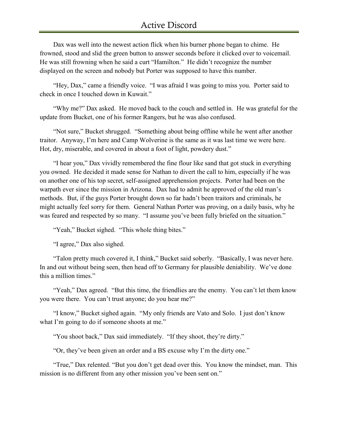Dax was well into the newest action flick when his burner phone began to chime. He frowned, stood and slid the green button to answer seconds before it clicked over to voicemail. He was still frowning when he said a curt "Hamilton." He didn't recognize the number displayed on the screen and nobody but Porter was supposed to have this number.

"Hey, Dax," came a friendly voice. "I was afraid I was going to miss you. Porter said to check in once I touched down in Kuwait."

"Why me?" Dax asked. He moved back to the couch and settled in. He was grateful for the update from Bucket, one of his former Rangers, but he was also confused.

"Not sure," Bucket shrugged. "Something about being offline while he went after another traitor. Anyway, I'm here and Camp Wolverine is the same as it was last time we were here. Hot, dry, miserable, and covered in about a foot of light, powdery dust."

"I hear you," Dax vividly remembered the fine flour like sand that got stuck in everything you owned. He decided it made sense for Nathan to divert the call to him, especially if he was on another one of his top secret, self-assigned apprehension projects. Porter had been on the warpath ever since the mission in Arizona. Dax had to admit he approved of the old man's methods. But, if the guys Porter brought down so far hadn't been traitors and criminals, he might actually feel sorry for them. General Nathan Porter was proving, on a daily basis, why he was feared and respected by so many. "I assume you've been fully briefed on the situation."

"Yeah," Bucket sighed. "This whole thing bites."

"I agree," Dax also sighed.

"Talon pretty much covered it, I think," Bucket said soberly. "Basically, I was never here. In and out without being seen, then head off to Germany for plausible deniability. We've done this a million times."

"Yeah," Dax agreed. "But this time, the friendlies are the enemy. You can't let them know you were there. You can't trust anyone; do you hear me?"

"I know," Bucket sighed again. "My only friends are Vato and Solo. I just don't know what I'm going to do if someone shoots at me."

"You shoot back," Dax said immediately. "If they shoot, they're dirty."

"Or, they've been given an order and a BS excuse why I'm the dirty one."

"True," Dax relented. "But you don't get dead over this. You know the mindset, man. This mission is no different from any other mission you've been sent on."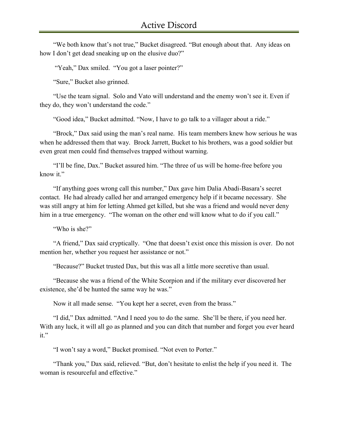"We both know that's not true," Bucket disagreed. "But enough about that. Any ideas on how I don't get dead sneaking up on the elusive duo?"

"Yeah," Dax smiled. "You got a laser pointer?"

"Sure," Bucket also grinned.

"Use the team signal. Solo and Vato will understand and the enemy won't see it. Even if they do, they won't understand the code."

"Good idea," Bucket admitted. "Now, I have to go talk to a villager about a ride."

"Brock," Dax said using the man's real name. His team members knew how serious he was when he addressed them that way. Brock Jarrett, Bucket to his brothers, was a good soldier but even great men could find themselves trapped without warning.

"I'll be fine, Dax." Bucket assured him. "The three of us will be home-free before you know it."

"If anything goes wrong call this number," Dax gave him Dalia Abadi-Basara's secret contact. He had already called her and arranged emergency help if it became necessary. She was still angry at him for letting Ahmed get killed, but she was a friend and would never deny him in a true emergency. "The woman on the other end will know what to do if you call."

"Who is she?"

"A friend," Dax said cryptically. "One that doesn't exist once this mission is over. Do not mention her, whether you request her assistance or not."

"Because?" Bucket trusted Dax, but this was all a little more secretive than usual.

"Because she was a friend of the White Scorpion and if the military ever discovered her existence, she'd be hunted the same way he was."

Now it all made sense. "You kept her a secret, even from the brass."

"I did," Dax admitted. "And I need you to do the same. She'll be there, if you need her. With any luck, it will all go as planned and you can ditch that number and forget you ever heard it."

"I won't say a word," Bucket promised. "Not even to Porter."

"Thank you," Dax said, relieved. "But, don't hesitate to enlist the help if you need it. The woman is resourceful and effective."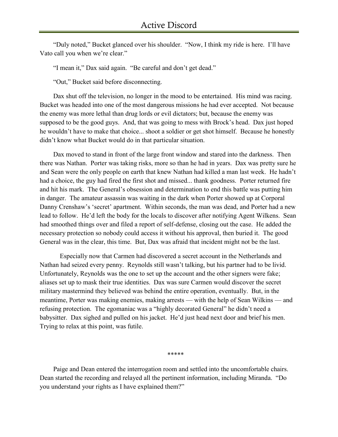"Duly noted," Bucket glanced over his shoulder. "Now, I think my ride is here. I'll have Vato call you when we're clear."

"I mean it," Dax said again. "Be careful and don't get dead."

"Out," Bucket said before disconnecting.

Dax shut off the television, no longer in the mood to be entertained. His mind was racing. Bucket was headed into one of the most dangerous missions he had ever accepted. Not because the enemy was more lethal than drug lords or evil dictators; but, because the enemy was supposed to be the good guys. And, that was going to mess with Brock's head. Dax just hoped he wouldn't have to make that choice... shoot a soldier or get shot himself. Because he honestly didn't know what Bucket would do in that particular situation.

Dax moved to stand in front of the large front window and stared into the darkness. Then there was Nathan. Porter was taking risks, more so than he had in years. Dax was pretty sure he and Sean were the only people on earth that knew Nathan had killed a man last week. He hadn't had a choice, the guy had fired the first shot and missed... thank goodness. Porter returned fire and hit his mark. The General's obsession and determination to end this battle was putting him in danger. The amateur assassin was waiting in the dark when Porter showed up at Corporal Danny Crenshaw's 'secret' apartment. Within seconds, the man was dead, and Porter had a new lead to follow. He'd left the body for the locals to discover after notifying Agent Wilkens. Sean had smoothed things over and filed a report of self-defense, closing out the case. He added the necessary protection so nobody could access it without his approval, then buried it. The good General was in the clear, this time. But, Dax was afraid that incident might not be the last.

 Especially now that Carmen had discovered a secret account in the Netherlands and Nathan had seized every penny. Reynolds still wasn't talking, but his partner had to be livid. Unfortunately, Reynolds was the one to set up the account and the other signers were fake; aliases set up to mask their true identities. Dax was sure Carmen would discover the secret military mastermind they believed was behind the entire operation, eventually. But, in the meantime, Porter was making enemies, making arrests — with the help of Sean Wilkins — and refusing protection. The egomaniac was a "highly decorated General" he didn't need a babysitter. Dax sighed and pulled on his jacket. He'd just head next door and brief his men. Trying to relax at this point, was futile.

\*\*\*\*\*

Paige and Dean entered the interrogation room and settled into the uncomfortable chairs. Dean started the recording and relayed all the pertinent information, including Miranda. "Do you understand your rights as I have explained them?"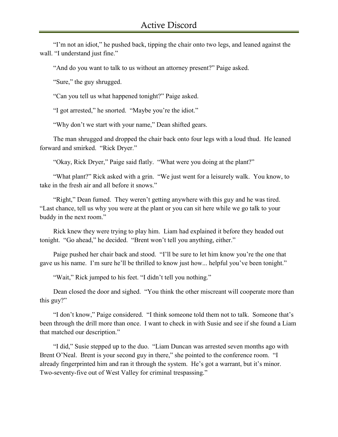"I'm not an idiot," he pushed back, tipping the chair onto two legs, and leaned against the wall. "I understand just fine."

"And do you want to talk to us without an attorney present?" Paige asked.

"Sure," the guy shrugged.

"Can you tell us what happened tonight?" Paige asked.

"I got arrested," he snorted. "Maybe you're the idiot."

"Why don't we start with your name," Dean shifted gears.

The man shrugged and dropped the chair back onto four legs with a loud thud. He leaned forward and smirked. "Rick Dryer."

"Okay, Rick Dryer," Paige said flatly. "What were you doing at the plant?"

"What plant?" Rick asked with a grin. "We just went for a leisurely walk. You know, to take in the fresh air and all before it snows."

"Right," Dean fumed. They weren't getting anywhere with this guy and he was tired. "Last chance, tell us why you were at the plant or you can sit here while we go talk to your buddy in the next room."

Rick knew they were trying to play him. Liam had explained it before they headed out tonight. "Go ahead," he decided. "Brent won't tell you anything, either."

Paige pushed her chair back and stood. "I'll be sure to let him know you're the one that gave us his name. I'm sure he'll be thrilled to know just how... helpful you've been tonight."

"Wait," Rick jumped to his feet. "I didn't tell you nothing."

Dean closed the door and sighed. "You think the other miscreant will cooperate more than this guy?"

"I don't know," Paige considered. "I think someone told them not to talk. Someone that's been through the drill more than once. I want to check in with Susie and see if she found a Liam that matched our description."

"I did," Susie stepped up to the duo. "Liam Duncan was arrested seven months ago with Brent O'Neal. Brent is your second guy in there," she pointed to the conference room. "I already fingerprinted him and ran it through the system. He's got a warrant, but it's minor. Two-seventy-five out of West Valley for criminal trespassing."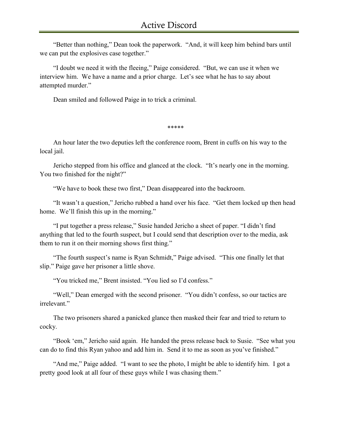"Better than nothing," Dean took the paperwork. "And, it will keep him behind bars until we can put the explosives case together."

"I doubt we need it with the fleeing," Paige considered. "But, we can use it when we interview him. We have a name and a prior charge. Let's see what he has to say about attempted murder."

Dean smiled and followed Paige in to trick a criminal.

\*\*\*\*\*

An hour later the two deputies left the conference room, Brent in cuffs on his way to the local jail.

Jericho stepped from his office and glanced at the clock. "It's nearly one in the morning. You two finished for the night?"

"We have to book these two first," Dean disappeared into the backroom.

"It wasn't a question," Jericho rubbed a hand over his face. "Get them locked up then head home. We'll finish this up in the morning."

"I put together a press release," Susie handed Jericho a sheet of paper. "I didn't find anything that led to the fourth suspect, but I could send that description over to the media, ask them to run it on their morning shows first thing."

"The fourth suspect's name is Ryan Schmidt," Paige advised. "This one finally let that slip." Paige gave her prisoner a little shove.

"You tricked me," Brent insisted. "You lied so I'd confess."

"Well," Dean emerged with the second prisoner. "You didn't confess, so our tactics are irrelevant."

The two prisoners shared a panicked glance then masked their fear and tried to return to cocky.

"Book 'em," Jericho said again. He handed the press release back to Susie. "See what you can do to find this Ryan yahoo and add him in. Send it to me as soon as you've finished."

"And me," Paige added. "I want to see the photo, I might be able to identify him. I got a pretty good look at all four of these guys while I was chasing them."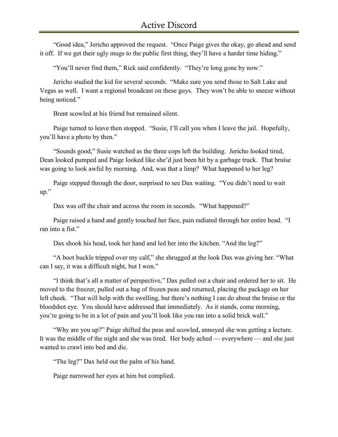"Good idea," Jericho approved the request. "Once Paige gives the okay, go ahead and send it off. If we get their ugly mugs to the public first thing, they'll have a harder time hiding."

"You'll never find them," Rick said confidently. "They're long gone by now."

Jericho studied the kid for several seconds. "Make sure you send those to Salt Lake and Vegas as well. I want a regional broadcast on these guys. They won't be able to sneeze without being noticed."

Brent scowled at his friend but remained silent.

Paige turned to leave then stopped. "Susie, I'll call you when I leave the jail. Hopefully, you'll have a photo by then."

"Sounds good," Susie watched as the three cops left the building. Jericho looked tired, Dean looked pumped and Paige looked like she'd just been hit by a garbage truck. That bruise was going to look awful by morning. And, was that a limp? What happened to her leg?

Paige stepped through the door, surprised to see Dax waiting. "You didn't need to wait up."

Dax was off the chair and across the room in seconds. "What happened?"

Paige raised a hand and gently touched her face, pain radiated through her entire head. "I ran into a fist."

Dax shook his head, took her hand and led her into the kitchen. "And the leg?"

"A boot buckle tripped over my calf," she shrugged at the look Dax was giving her. "What can I say, it was a difficult night, but I won."

"I think that's all a matter of perspective," Dax pulled out a chair and ordered her to sit. He moved to the freezer, pulled out a bag of frozen peas and returned, placing the package on her left cheek. "That will help with the swelling, but there's nothing I can do about the bruise or the bloodshot eye. You should have addressed that immediately. As it stands, come morning, you're going to be in a lot of pain and you'll look like you ran into a solid brick wall."

"Why are you up?" Paige shifted the peas and scowled, annoyed she was getting a lecture. It was the middle of the night and she was tired. Her body ached — everywhere — and she just wanted to crawl into bed and die.

"The leg?" Dax held out the palm of his hand.

Paige narrowed her eyes at him but complied.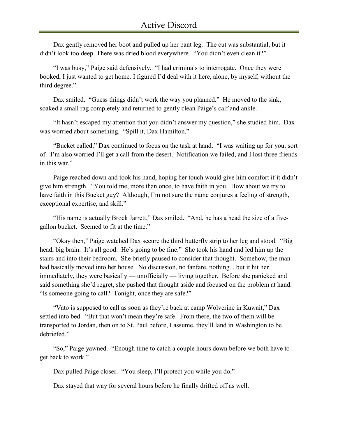Dax gently removed her boot and pulled up her pant leg. The cut was substantial, but it didn't look too deep. There was dried blood everywhere. "You didn't even clean it?"

"I was busy," Paige said defensively. "I had criminals to interrogate. Once they were booked, I just wanted to get home. I figured I'd deal with it here, alone, by myself, without the third degree."

Dax smiled. "Guess things didn't work the way you planned." He moved to the sink, soaked a small rag completely and returned to gently clean Paige's calf and ankle.

"It hasn't escaped my attention that you didn't answer my question," she studied him. Dax was worried about something. "Spill it, Dax Hamilton."

"Bucket called," Dax continued to focus on the task at hand. "I was waiting up for you, sort of. I'm also worried I'll get a call from the desert. Notification we failed, and I lost three friends in this war."

Paige reached down and took his hand, hoping her touch would give him comfort if it didn't give him strength. "You told me, more than once, to have faith in you. How about we try to have faith in this Bucket guy? Although, I'm not sure the name conjures a feeling of strength, exceptional expertise, and skill."

"His name is actually Brock Jarrett," Dax smiled. "And, he has a head the size of a fivegallon bucket. Seemed to fit at the time."

"Okay then," Paige watched Dax secure the third butterfly strip to her leg and stood. "Big head, big brain. It's all good. He's going to be fine." She took his hand and led him up the stairs and into their bedroom. She briefly paused to consider that thought. Somehow, the man had basically moved into her house. No discussion, no fanfare, nothing... but it hit her immediately, they were basically — unofficially — living together. Before she panicked and said something she'd regret, she pushed that thought aside and focused on the problem at hand. "Is someone going to call? Tonight, once they are safe?"

"Vato is supposed to call as soon as they're back at camp Wolverine in Kuwait," Dax settled into bed. "But that won't mean they're safe. From there, the two of them will be transported to Jordan, then on to St. Paul before, I assume, they'll land in Washington to be debriefed."

"So," Paige yawned. "Enough time to catch a couple hours down before we both have to get back to work."

Dax pulled Paige closer. "You sleep, I'll protect you while you do."

Dax stayed that way for several hours before he finally drifted off as well.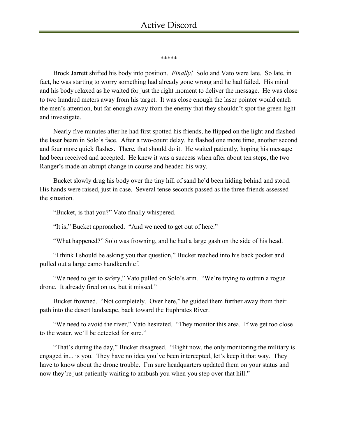\*\*\*\*\*

Brock Jarrett shifted his body into position. *Finally!* Solo and Vato were late. So late, in fact, he was starting to worry something had already gone wrong and he had failed. His mind and his body relaxed as he waited for just the right moment to deliver the message. He was close to two hundred meters away from his target. It was close enough the laser pointer would catch the men's attention, but far enough away from the enemy that they shouldn't spot the green light and investigate.

Nearly five minutes after he had first spotted his friends, he flipped on the light and flashed the laser beam in Solo's face. After a two-count delay, he flashed one more time, another second and four more quick flashes. There, that should do it. He waited patiently, hoping his message had been received and accepted. He knew it was a success when after about ten steps, the two Ranger's made an abrupt change in course and headed his way.

Bucket slowly drug his body over the tiny hill of sand he'd been hiding behind and stood. His hands were raised, just in case. Several tense seconds passed as the three friends assessed the situation.

"Bucket, is that you?" Vato finally whispered.

"It is," Bucket approached. "And we need to get out of here."

"What happened?" Solo was frowning, and he had a large gash on the side of his head.

"I think I should be asking you that question," Bucket reached into his back pocket and pulled out a large camo handkerchief.

"We need to get to safety," Vato pulled on Solo's arm. "We're trying to outrun a rogue drone. It already fired on us, but it missed."

Bucket frowned. "Not completely. Over here," he guided them further away from their path into the desert landscape, back toward the Euphrates River.

"We need to avoid the river," Vato hesitated. "They monitor this area. If we get too close to the water, we'll be detected for sure."

"That's during the day," Bucket disagreed. "Right now, the only monitoring the military is engaged in... is you. They have no idea you've been intercepted, let's keep it that way. They have to know about the drone trouble. I'm sure headquarters updated them on your status and now they're just patiently waiting to ambush you when you step over that hill."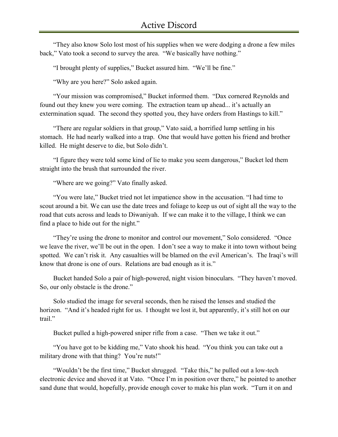"They also know Solo lost most of his supplies when we were dodging a drone a few miles back," Vato took a second to survey the area. "We basically have nothing."

"I brought plenty of supplies," Bucket assured him. "We'll be fine."

"Why are you here?" Solo asked again.

"Your mission was compromised," Bucket informed them. "Dax cornered Reynolds and found out they knew you were coming. The extraction team up ahead... it's actually an extermination squad. The second they spotted you, they have orders from Hastings to kill."

"There are regular soldiers in that group," Vato said, a horrified lump settling in his stomach. He had nearly walked into a trap. One that would have gotten his friend and brother killed. He might deserve to die, but Solo didn't.

"I figure they were told some kind of lie to make you seem dangerous," Bucket led them straight into the brush that surrounded the river.

"Where are we going?" Vato finally asked.

"You were late," Bucket tried not let impatience show in the accusation. "I had time to scout around a bit. We can use the date trees and foliage to keep us out of sight all the way to the road that cuts across and leads to Diwaniyah. If we can make it to the village, I think we can find a place to hide out for the night."

"They're using the drone to monitor and control our movement," Solo considered. "Once we leave the river, we'll be out in the open. I don't see a way to make it into town without being spotted. We can't risk it. Any casualties will be blamed on the evil American's. The Iraqi's will know that drone is one of ours. Relations are bad enough as it is."

Bucket handed Solo a pair of high-powered, night vision binoculars. "They haven't moved. So, our only obstacle is the drone."

Solo studied the image for several seconds, then he raised the lenses and studied the horizon. "And it's headed right for us. I thought we lost it, but apparently, it's still hot on our trail."

Bucket pulled a high-powered sniper rifle from a case. "Then we take it out."

"You have got to be kidding me," Vato shook his head. "You think you can take out a military drone with that thing? You're nuts!"

"Wouldn't be the first time," Bucket shrugged. "Take this," he pulled out a low-tech electronic device and shoved it at Vato. "Once I'm in position over there," he pointed to another sand dune that would, hopefully, provide enough cover to make his plan work. "Turn it on and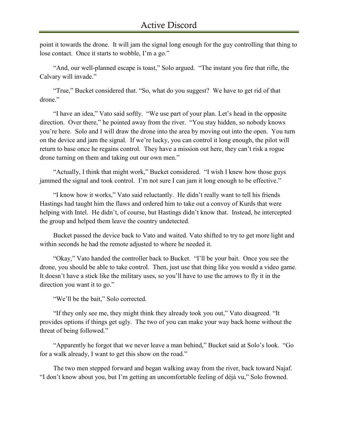point it towards the drone. It will jam the signal long enough for the guy controlling that thing to lose contact. Once it starts to wobble, I'm a go."

"And, our well-planned escape is toast," Solo argued. "The instant you fire that rifle, the Calvary will invade."

"True," Bucket considered that. "So, what do you suggest? We have to get rid of that drone."

"I have an idea," Vato said softly. "We use part of your plan. Let's head in the opposite direction. Over there," he pointed away from the river. "You stay hidden, so nobody knows you're here. Solo and I will draw the drone into the area by moving out into the open. You turn on the device and jam the signal. If we're lucky, you can control it long enough, the pilot will return to base once he regains control. They have a mission out here, they can't risk a rogue drone turning on them and taking out our own men."

"Actually, I think that might work," Bucket considered. "I wish I knew how those guys jammed the signal and took control. I'm not sure I can jam it long enough to be effective."

"I know how it works," Vato said reluctantly. He didn't really want to tell his friends Hastings had taught him the flaws and ordered him to take out a convoy of Kurds that were helping with Intel. He didn't, of course, but Hastings didn't know that. Instead, he intercepted the group and helped them leave the country undetected.

Bucket passed the device back to Vato and waited. Vato shifted to try to get more light and within seconds he had the remote adjusted to where he needed it.

"Okay," Vato handed the controller back to Bucket. "I'll be your bait. Once you see the drone, you should be able to take control. Then, just use that thing like you would a video game. It doesn't have a stick like the military uses, so you'll have to use the arrows to fly it in the direction you want it to go."

"We'll be the bait," Solo corrected.

"If they only see me, they might think they already took you out," Vato disagreed. "It provides options if things get ugly. The two of you can make your way back home without the threat of being followed."

"Apparently he forgot that we never leave a man behind," Bucket said at Solo's look. "Go for a walk already, I want to get this show on the road."

The two men stepped forward and began walking away from the river, back toward Najaf. "I don't know about you, but I'm getting an uncomfortable feeling of déjà vu," Solo frowned.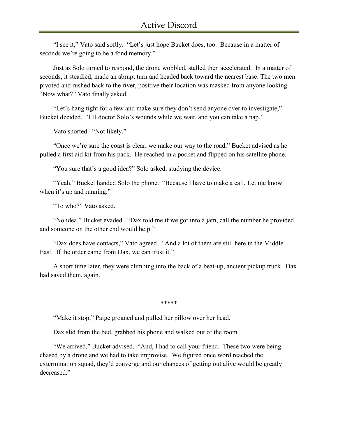"I see it," Vato said softly. "Let's just hope Bucket does, too. Because in a matter of seconds we're going to be a fond memory."

Just as Solo turned to respond, the drone wobbled, stalled then accelerated. In a matter of seconds, it steadied, made an abrupt turn and headed back toward the nearest base. The two men pivoted and rushed back to the river, positive their location was masked from anyone looking. "Now what?" Vato finally asked.

"Let's hang tight for a few and make sure they don't send anyone over to investigate," Bucket decided. "I'll doctor Solo's wounds while we wait, and you can take a nap."

Vato snorted. "Not likely."

"Once we're sure the coast is clear, we make our way to the road," Bucket advised as he pulled a first aid kit from his pack. He reached in a pocket and flipped on his satellite phone.

"You sure that's a good idea?" Solo asked, studying the device.

"Yeah," Bucket handed Solo the phone. "Because I have to make a call. Let me know when it's up and running."

"To who?" Vato asked.

"No idea," Bucket evaded. "Dax told me if we got into a jam, call the number he provided and someone on the other end would help."

"Dax does have contacts," Vato agreed. "And a lot of them are still here in the Middle East. If the order came from Dax, we can trust it."

A short time later, they were climbing into the back of a beat-up, ancient pickup truck. Dax had saved them, again.

\*\*\*\*\*

"Make it stop," Paige groaned and pulled her pillow over her head.

Dax slid from the bed, grabbed his phone and walked out of the room.

"We arrived," Bucket advised. "And, I had to call your friend. These two were being chased by a drone and we had to take improvise. We figured once word reached the extermination squad, they'd converge and our chances of getting out alive would be greatly decreased."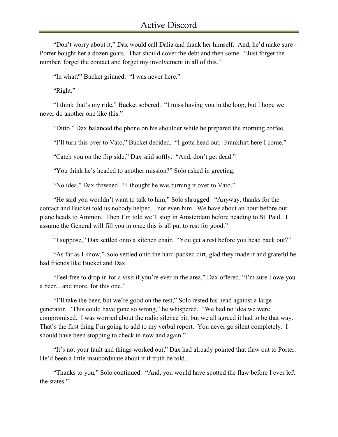"Don't worry about it," Dax would call Dalia and thank her himself. And, he'd make sure Porter bought her a dozen goats. That should cover the debt and then some. "Just forget the number, forget the contact and forget my involvement in all of this."

"In what?" Bucket grinned. "I was never here."

"Right."

"I think that's my ride," Bucket sobered. "I miss having you in the loop, but I hope we never do another one like this."

"Ditto," Dax balanced the phone on his shoulder while he prepared the morning coffee.

"I'll turn this over to Vato," Bucket decided. "I gotta head out. Frankfurt here I come."

"Catch you on the flip side," Dax said softly. "And, don't get dead."

"You think he's headed to another mission?" Solo asked in greeting.

"No idea," Dax frowned. "I thought he was turning it over to Vato."

"He said you wouldn't want to talk to him," Solo shrugged. "Anyway, thanks for the contact and Bucket told us nobody helped... not even him. We have about an hour before our plane heads to Ammon. Then I'm told we'll stop in Amsterdam before heading to St. Paul. I assume the General will fill you in once this is all put to rest for good."

"I suppose," Dax settled onto a kitchen chair. "You get a rest before you head back out?"

"As far as I know," Solo settled onto the hard-packed dirt, glad they made it and grateful he had friends like Bucket and Dax.

"Feel free to drop in for a visit if you're ever in the area," Dax offered. "I'm sure I owe you a beer... and more, for this one."

"I'll take the beer, but we're good on the rest," Solo rested his head against a large generator. "This could have gone so wrong," he whispered. "We had no idea we were compromised. I was worried about the radio silence bit, but we all agreed it had to be that way. That's the first thing I'm going to add to my verbal report. You never go silent completely. I should have been stopping to check in now and again."

"It's not your fault and things worked out," Dax had already pointed that flaw out to Porter. He'd been a little insubordinate about it if truth be told.

"Thanks to you," Solo continued. "And, you would have spotted the flaw before I ever left the states."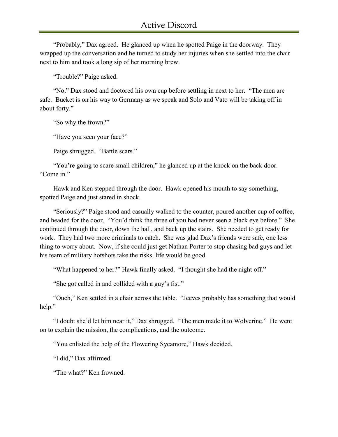"Probably," Dax agreed. He glanced up when he spotted Paige in the doorway. They wrapped up the conversation and he turned to study her injuries when she settled into the chair next to him and took a long sip of her morning brew.

"Trouble?" Paige asked.

"No," Dax stood and doctored his own cup before settling in next to her. "The men are safe. Bucket is on his way to Germany as we speak and Solo and Vato will be taking off in about forty."

"So why the frown?"

"Have you seen your face?"

Paige shrugged. "Battle scars."

"You're going to scare small children," he glanced up at the knock on the back door. "Come in."

Hawk and Ken stepped through the door. Hawk opened his mouth to say something, spotted Paige and just stared in shock.

"Seriously?" Paige stood and casually walked to the counter, poured another cup of coffee, and headed for the door. "You'd think the three of you had never seen a black eye before." She continued through the door, down the hall, and back up the stairs. She needed to get ready for work. They had two more criminals to catch. She was glad Dax's friends were safe, one less thing to worry about. Now, if she could just get Nathan Porter to stop chasing bad guys and let his team of military hotshots take the risks, life would be good.

"What happened to her?" Hawk finally asked. "I thought she had the night off."

"She got called in and collided with a guy's fist."

"Ouch," Ken settled in a chair across the table. "Jeeves probably has something that would help."

"I doubt she'd let him near it," Dax shrugged. "The men made it to Wolverine." He went on to explain the mission, the complications, and the outcome.

"You enlisted the help of the Flowering Sycamore," Hawk decided.

"I did," Dax affirmed.

"The what?" Ken frowned.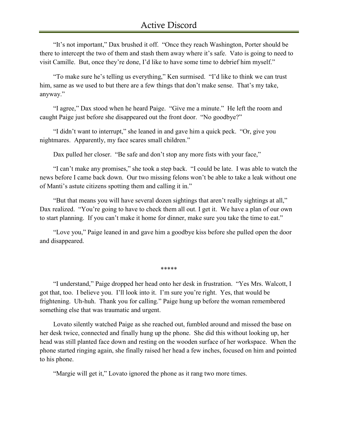"It's not important," Dax brushed it off. "Once they reach Washington, Porter should be there to intercept the two of them and stash them away where it's safe. Vato is going to need to visit Camille. But, once they're done, I'd like to have some time to debrief him myself."

"To make sure he's telling us everything," Ken surmised. "I'd like to think we can trust him, same as we used to but there are a few things that don't make sense. That's my take, anyway."

"I agree," Dax stood when he heard Paige. "Give me a minute." He left the room and caught Paige just before she disappeared out the front door. "No goodbye?"

"I didn't want to interrupt," she leaned in and gave him a quick peck. "Or, give you nightmares. Apparently, my face scares small children."

Dax pulled her closer. "Be safe and don't stop any more fists with your face,"

"I can't make any promises," she took a step back. "I could be late. I was able to watch the news before I came back down. Our two missing felons won't be able to take a leak without one of Manti's astute citizens spotting them and calling it in."

"But that means you will have several dozen sightings that aren't really sightings at all," Dax realized. "You're going to have to check them all out. I get it. We have a plan of our own to start planning. If you can't make it home for dinner, make sure you take the time to eat."

"Love you," Paige leaned in and gave him a goodbye kiss before she pulled open the door and disappeared.

\*\*\*\*\*

"I understand," Paige dropped her head onto her desk in frustration. "Yes Mrs. Walcott, I got that, too. I believe you. I'll look into it. I'm sure you're right. Yes, that would be frightening. Uh-huh. Thank you for calling." Paige hung up before the woman remembered something else that was traumatic and urgent.

Lovato silently watched Paige as she reached out, fumbled around and missed the base on her desk twice, connected and finally hung up the phone. She did this without looking up, her head was still planted face down and resting on the wooden surface of her workspace. When the phone started ringing again, she finally raised her head a few inches, focused on him and pointed to his phone.

"Margie will get it," Lovato ignored the phone as it rang two more times.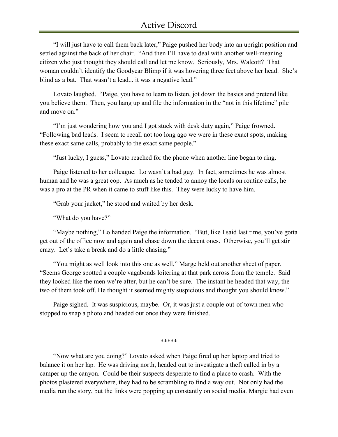"I will just have to call them back later," Paige pushed her body into an upright position and settled against the back of her chair. "And then I'll have to deal with another well-meaning citizen who just thought they should call and let me know. Seriously, Mrs. Walcott? That woman couldn't identify the Goodyear Blimp if it was hovering three feet above her head. She's blind as a bat. That wasn't a lead... it was a negative lead."

Lovato laughed. "Paige, you have to learn to listen, jot down the basics and pretend like you believe them. Then, you hang up and file the information in the "not in this lifetime" pile and move on."

"I'm just wondering how you and I got stuck with desk duty again," Paige frowned. "Following bad leads. I seem to recall not too long ago we were in these exact spots, making these exact same calls, probably to the exact same people."

"Just lucky, I guess," Lovato reached for the phone when another line began to ring.

Paige listened to her colleague. Lo wasn't a bad guy. In fact, sometimes he was almost human and he was a great cop. As much as he tended to annoy the locals on routine calls, he was a pro at the PR when it came to stuff like this. They were lucky to have him.

"Grab your jacket," he stood and waited by her desk.

"What do you have?"

"Maybe nothing," Lo handed Paige the information. "But, like I said last time, you've gotta get out of the office now and again and chase down the decent ones. Otherwise, you'll get stir crazy. Let's take a break and do a little chasing."

"You might as well look into this one as well," Marge held out another sheet of paper. "Seems George spotted a couple vagabonds loitering at that park across from the temple. Said they looked like the men we're after, but he can't be sure. The instant he headed that way, the two of them took off. He thought it seemed mighty suspicious and thought you should know."

Paige sighed. It was suspicious, maybe. Or, it was just a couple out-of-town men who stopped to snap a photo and headed out once they were finished.

\*\*\*\*\*

"Now what are you doing?" Lovato asked when Paige fired up her laptop and tried to balance it on her lap. He was driving north, headed out to investigate a theft called in by a camper up the canyon. Could be their suspects desperate to find a place to crash. With the photos plastered everywhere, they had to be scrambling to find a way out. Not only had the media run the story, but the links were popping up constantly on social media. Margie had even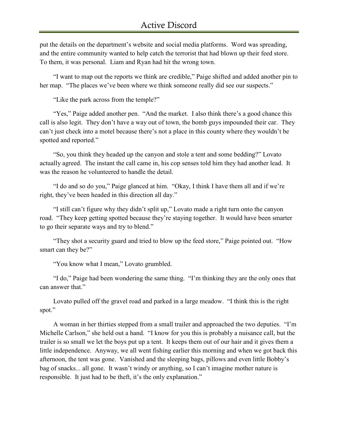put the details on the department's website and social media platforms. Word was spreading, and the entire community wanted to help catch the terrorist that had blown up their feed store. To them, it was personal. Liam and Ryan had hit the wrong town.

"I want to map out the reports we think are credible," Paige shifted and added another pin to her map. "The places we've been where we think someone really did see our suspects."

"Like the park across from the temple?"

"Yes," Paige added another pen. "And the market. I also think there's a good chance this call is also legit. They don't have a way out of town, the bomb guys impounded their car. They can't just check into a motel because there's not a place in this county where they wouldn't be spotted and reported."

"So, you think they headed up the canyon and stole a tent and some bedding?" Lovato actually agreed. The instant the call came in, his cop senses told him they had another lead. It was the reason he volunteered to handle the detail.

"I do and so do you," Paige glanced at him. "Okay, I think I have them all and if we're right, they've been headed in this direction all day."

"I still can't figure why they didn't split up," Lovato made a right turn onto the canyon road. "They keep getting spotted because they're staying together. It would have been smarter to go their separate ways and try to blend."

"They shot a security guard and tried to blow up the feed store," Paige pointed out. "How smart can they be?"

"You know what I mean," Lovato grumbled.

"I do," Paige had been wondering the same thing. "I'm thinking they are the only ones that can answer that."

Lovato pulled off the gravel road and parked in a large meadow. "I think this is the right spot."

A woman in her thirties stepped from a small trailer and approached the two deputies. "I'm Michelle Carlson," she held out a hand. "I know for you this is probably a nuisance call, but the trailer is so small we let the boys put up a tent. It keeps them out of our hair and it gives them a little independence. Anyway, we all went fishing earlier this morning and when we got back this afternoon, the tent was gone. Vanished and the sleeping bags, pillows and even little Bobby's bag of snacks... all gone. It wasn't windy or anything, so I can't imagine mother nature is responsible. It just had to be theft, it's the only explanation."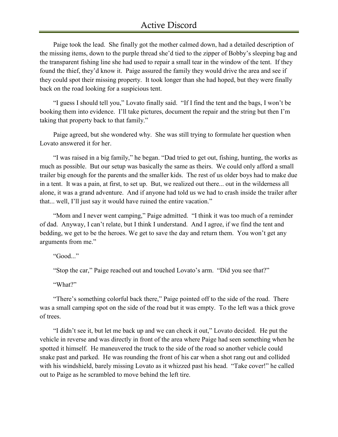Paige took the lead. She finally got the mother calmed down, had a detailed description of the missing items, down to the purple thread she'd tied to the zipper of Bobby's sleeping bag and the transparent fishing line she had used to repair a small tear in the window of the tent. If they found the thief, they'd know it. Paige assured the family they would drive the area and see if they could spot their missing property. It took longer than she had hoped, but they were finally back on the road looking for a suspicious tent.

"I guess I should tell you," Lovato finally said. "If I find the tent and the bags, I won't be booking them into evidence. I'll take pictures, document the repair and the string but then I'm taking that property back to that family."

Paige agreed, but she wondered why. She was still trying to formulate her question when Lovato answered it for her.

"I was raised in a big family," he began. "Dad tried to get out, fishing, hunting, the works as much as possible. But our setup was basically the same as theirs. We could only afford a small trailer big enough for the parents and the smaller kids. The rest of us older boys had to make due in a tent. It was a pain, at first, to set up. But, we realized out there... out in the wilderness all alone, it was a grand adventure. And if anyone had told us we had to crash inside the trailer after that... well, I'll just say it would have ruined the entire vacation."

"Mom and I never went camping," Paige admitted. "I think it was too much of a reminder of dad. Anyway, I can't relate, but I think I understand. And I agree, if we find the tent and bedding, we get to be the heroes. We get to save the day and return them. You won't get any arguments from me."

"Good..."

"Stop the car," Paige reached out and touched Lovato's arm. "Did you see that?"

"What?"

"There's something colorful back there," Paige pointed off to the side of the road. There was a small camping spot on the side of the road but it was empty. To the left was a thick grove of trees.

"I didn't see it, but let me back up and we can check it out," Lovato decided. He put the vehicle in reverse and was directly in front of the area where Paige had seen something when he spotted it himself. He maneuvered the truck to the side of the road so another vehicle could snake past and parked. He was rounding the front of his car when a shot rang out and collided with his windshield, barely missing Lovato as it whizzed past his head. "Take cover!" he called out to Paige as he scrambled to move behind the left tire.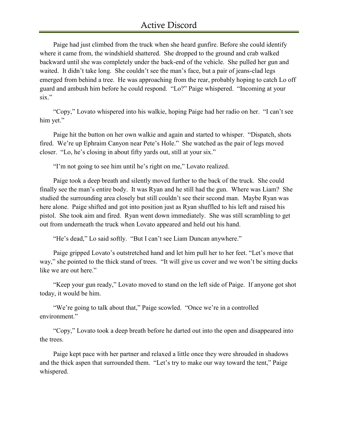Paige had just climbed from the truck when she heard gunfire. Before she could identify where it came from, the windshield shattered. She dropped to the ground and crab walked backward until she was completely under the back-end of the vehicle. She pulled her gun and waited. It didn't take long. She couldn't see the man's face, but a pair of jeans-clad legs emerged from behind a tree. He was approaching from the rear, probably hoping to catch Lo off guard and ambush him before he could respond. "Lo?" Paige whispered. "Incoming at your six."

"Copy," Lovato whispered into his walkie, hoping Paige had her radio on her. "I can't see him yet."

Paige hit the button on her own walkie and again and started to whisper. "Dispatch, shots fired. We're up Ephraim Canyon near Pete's Hole." She watched as the pair of legs moved closer. "Lo, he's closing in about fifty yards out, still at your six."

"I'm not going to see him until he's right on me," Lovato realized.

Paige took a deep breath and silently moved further to the back of the truck. She could finally see the man's entire body. It was Ryan and he still had the gun. Where was Liam? She studied the surrounding area closely but still couldn't see their second man. Maybe Ryan was here alone. Paige shifted and got into position just as Ryan shuffled to his left and raised his pistol. She took aim and fired. Ryan went down immediately. She was still scrambling to get out from underneath the truck when Lovato appeared and held out his hand.

"He's dead," Lo said softly. "But I can't see Liam Duncan anywhere."

Paige gripped Lovato's outstretched hand and let him pull her to her feet. "Let's move that way," she pointed to the thick stand of trees. "It will give us cover and we won't be sitting ducks like we are out here."

"Keep your gun ready," Lovato moved to stand on the left side of Paige. If anyone got shot today, it would be him.

"We're going to talk about that," Paige scowled. "Once we're in a controlled environment."

"Copy," Lovato took a deep breath before he darted out into the open and disappeared into the trees.

Paige kept pace with her partner and relaxed a little once they were shrouded in shadows and the thick aspen that surrounded them. "Let's try to make our way toward the tent," Paige whispered.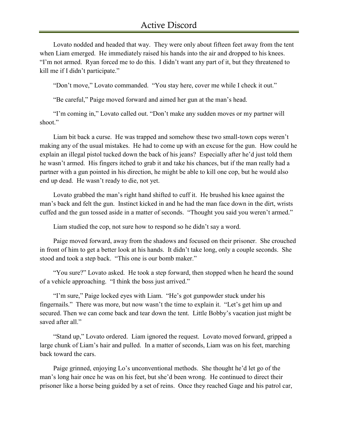Lovato nodded and headed that way. They were only about fifteen feet away from the tent when Liam emerged. He immediately raised his hands into the air and dropped to his knees. "I'm not armed. Ryan forced me to do this. I didn't want any part of it, but they threatened to kill me if I didn't participate."

"Don't move," Lovato commanded. "You stay here, cover me while I check it out."

"Be careful," Paige moved forward and aimed her gun at the man's head.

"I'm coming in," Lovato called out. "Don't make any sudden moves or my partner will shoot."

Liam bit back a curse. He was trapped and somehow these two small-town cops weren't making any of the usual mistakes. He had to come up with an excuse for the gun. How could he explain an illegal pistol tucked down the back of his jeans? Especially after he'd just told them he wasn't armed. His fingers itched to grab it and take his chances, but if the man really had a partner with a gun pointed in his direction, he might be able to kill one cop, but he would also end up dead. He wasn't ready to die, not yet.

Lovato grabbed the man's right hand shifted to cuff it. He brushed his knee against the man's back and felt the gun. Instinct kicked in and he had the man face down in the dirt, wrists cuffed and the gun tossed aside in a matter of seconds. "Thought you said you weren't armed."

Liam studied the cop, not sure how to respond so he didn't say a word.

Paige moved forward, away from the shadows and focused on their prisoner. She crouched in front of him to get a better look at his hands. It didn't take long, only a couple seconds. She stood and took a step back. "This one is our bomb maker."

"You sure?" Lovato asked. He took a step forward, then stopped when he heard the sound of a vehicle approaching. "I think the boss just arrived."

"I'm sure," Paige locked eyes with Liam. "He's got gunpowder stuck under his fingernails." There was more, but now wasn't the time to explain it. "Let's get him up and secured. Then we can come back and tear down the tent. Little Bobby's vacation just might be saved after all."

"Stand up," Lovato ordered. Liam ignored the request. Lovato moved forward, gripped a large chunk of Liam's hair and pulled. In a matter of seconds, Liam was on his feet, marching back toward the cars.

Paige grinned, enjoying Lo's unconventional methods. She thought he'd let go of the man's long hair once he was on his feet, but she'd been wrong. He continued to direct their prisoner like a horse being guided by a set of reins. Once they reached Gage and his patrol car,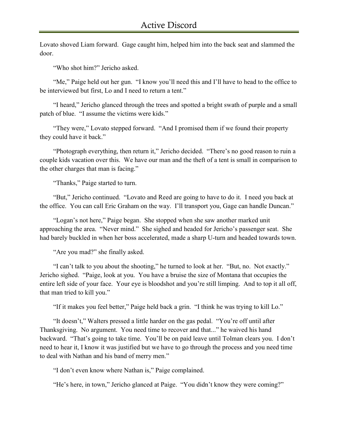Lovato shoved Liam forward. Gage caught him, helped him into the back seat and slammed the door.

"Who shot him?" Jericho asked.

"Me," Paige held out her gun. "I know you'll need this and I'll have to head to the office to be interviewed but first, Lo and I need to return a tent."

"I heard," Jericho glanced through the trees and spotted a bright swath of purple and a small patch of blue. "I assume the victims were kids."

"They were," Lovato stepped forward. "And I promised them if we found their property they could have it back."

"Photograph everything, then return it," Jericho decided. "There's no good reason to ruin a couple kids vacation over this. We have our man and the theft of a tent is small in comparison to the other charges that man is facing."

"Thanks," Paige started to turn.

"But," Jericho continued. "Lovato and Reed are going to have to do it. I need you back at the office. You can call Eric Graham on the way. I'll transport you, Gage can handle Duncan."

"Logan's not here," Paige began. She stopped when she saw another marked unit approaching the area. "Never mind." She sighed and headed for Jericho's passenger seat. She had barely buckled in when her boss accelerated, made a sharp U-turn and headed towards town.

"Are you mad?" she finally asked.

"I can't talk to you about the shooting," he turned to look at her. "But, no. Not exactly." Jericho sighed. "Paige, look at you. You have a bruise the size of Montana that occupies the entire left side of your face. Your eye is bloodshot and you're still limping. And to top it all off, that man tried to kill you."

"If it makes you feel better," Paige held back a grin. "I think he was trying to kill Lo."

"It doesn't," Walters pressed a little harder on the gas pedal. "You're off until after Thanksgiving. No argument. You need time to recover and that..." he waived his hand backward. "That's going to take time. You'll be on paid leave until Tolman clears you. I don't need to hear it, I know it was justified but we have to go through the process and you need time to deal with Nathan and his band of merry men."

"I don't even know where Nathan is," Paige complained.

"He's here, in town," Jericho glanced at Paige. "You didn't know they were coming?"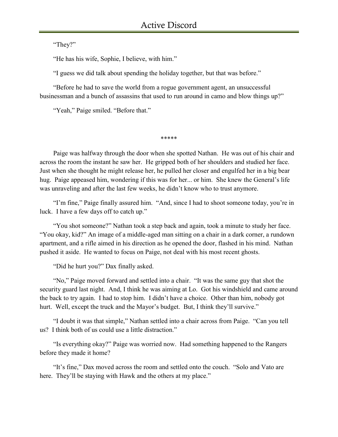"They?"

"He has his wife, Sophie, I believe, with him."

"I guess we did talk about spending the holiday together, but that was before."

"Before he had to save the world from a rogue government agent, an unsuccessful businessman and a bunch of assassins that used to run around in camo and blow things up?"

"Yeah," Paige smiled. "Before that."

\*\*\*\*\*

Paige was halfway through the door when she spotted Nathan. He was out of his chair and across the room the instant he saw her. He gripped both of her shoulders and studied her face. Just when she thought he might release her, he pulled her closer and engulfed her in a big bear hug. Paige appeased him, wondering if this was for her... or him. She knew the General's life was unraveling and after the last few weeks, he didn't know who to trust anymore.

"I'm fine," Paige finally assured him. "And, since I had to shoot someone today, you're in luck. I have a few days off to catch up."

"You shot someone?" Nathan took a step back and again, took a minute to study her face. "You okay, kid?" An image of a middle-aged man sitting on a chair in a dark corner, a rundown apartment, and a rifle aimed in his direction as he opened the door, flashed in his mind. Nathan pushed it aside. He wanted to focus on Paige, not deal with his most recent ghosts.

"Did he hurt you?" Dax finally asked.

"No," Paige moved forward and settled into a chair. "It was the same guy that shot the security guard last night. And, I think he was aiming at Lo. Got his windshield and came around the back to try again. I had to stop him. I didn't have a choice. Other than him, nobody got hurt. Well, except the truck and the Mayor's budget. But, I think they'll survive."

"I doubt it was that simple," Nathan settled into a chair across from Paige. "Can you tell us? I think both of us could use a little distraction."

"Is everything okay?" Paige was worried now. Had something happened to the Rangers before they made it home?

"It's fine," Dax moved across the room and settled onto the couch. "Solo and Vato are here. They'll be staying with Hawk and the others at my place."